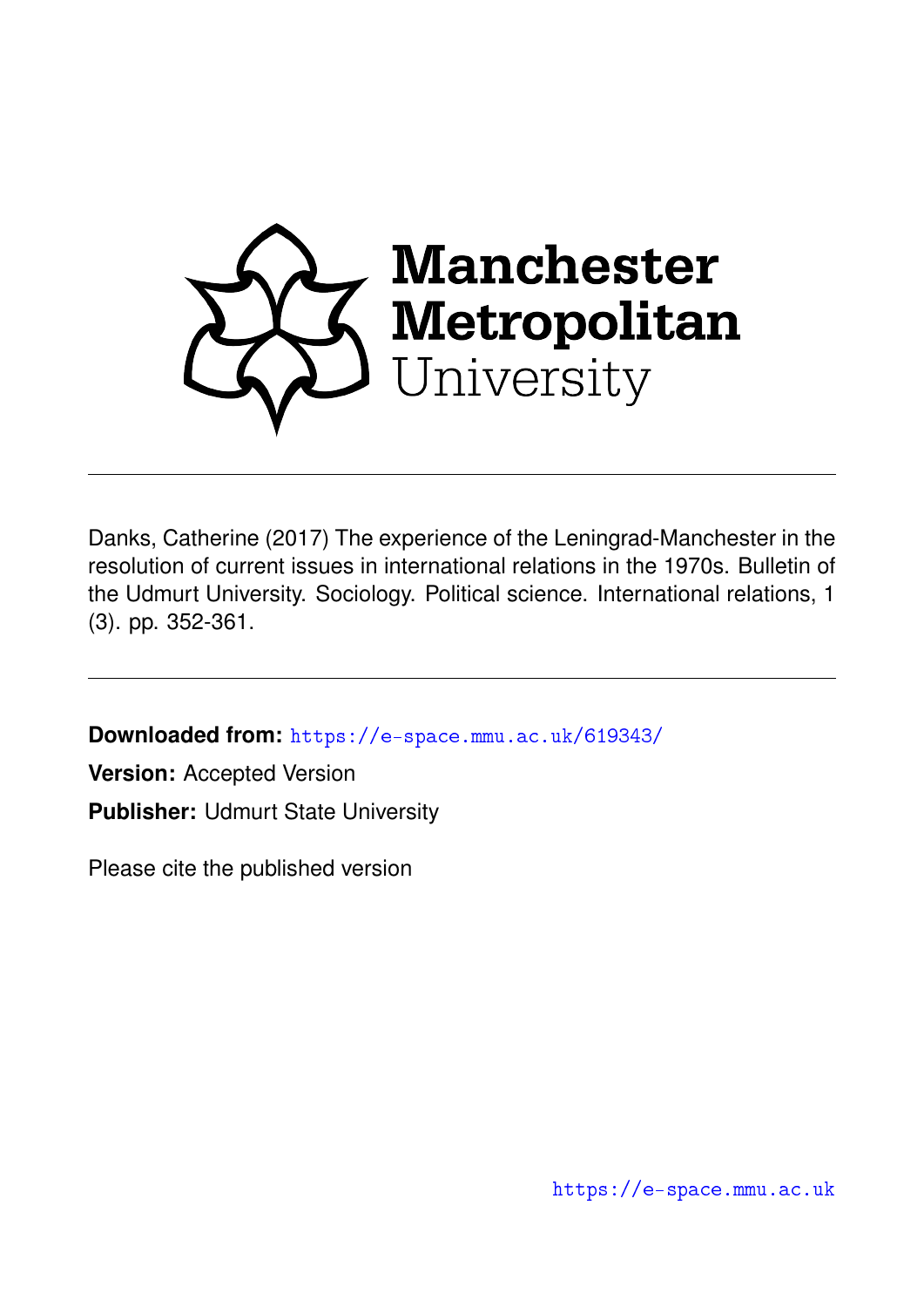

Danks, Catherine (2017) The experience of the Leningrad-Manchester in the resolution of current issues in international relations in the 1970s. Bulletin of the Udmurt University. Sociology. Political science. International relations, 1 (3). pp. 352-361.

**Downloaded from:** <https://e-space.mmu.ac.uk/619343/>

**Version:** Accepted Version **Publisher:** Udmurt State University

Please cite the published version

<https://e-space.mmu.ac.uk>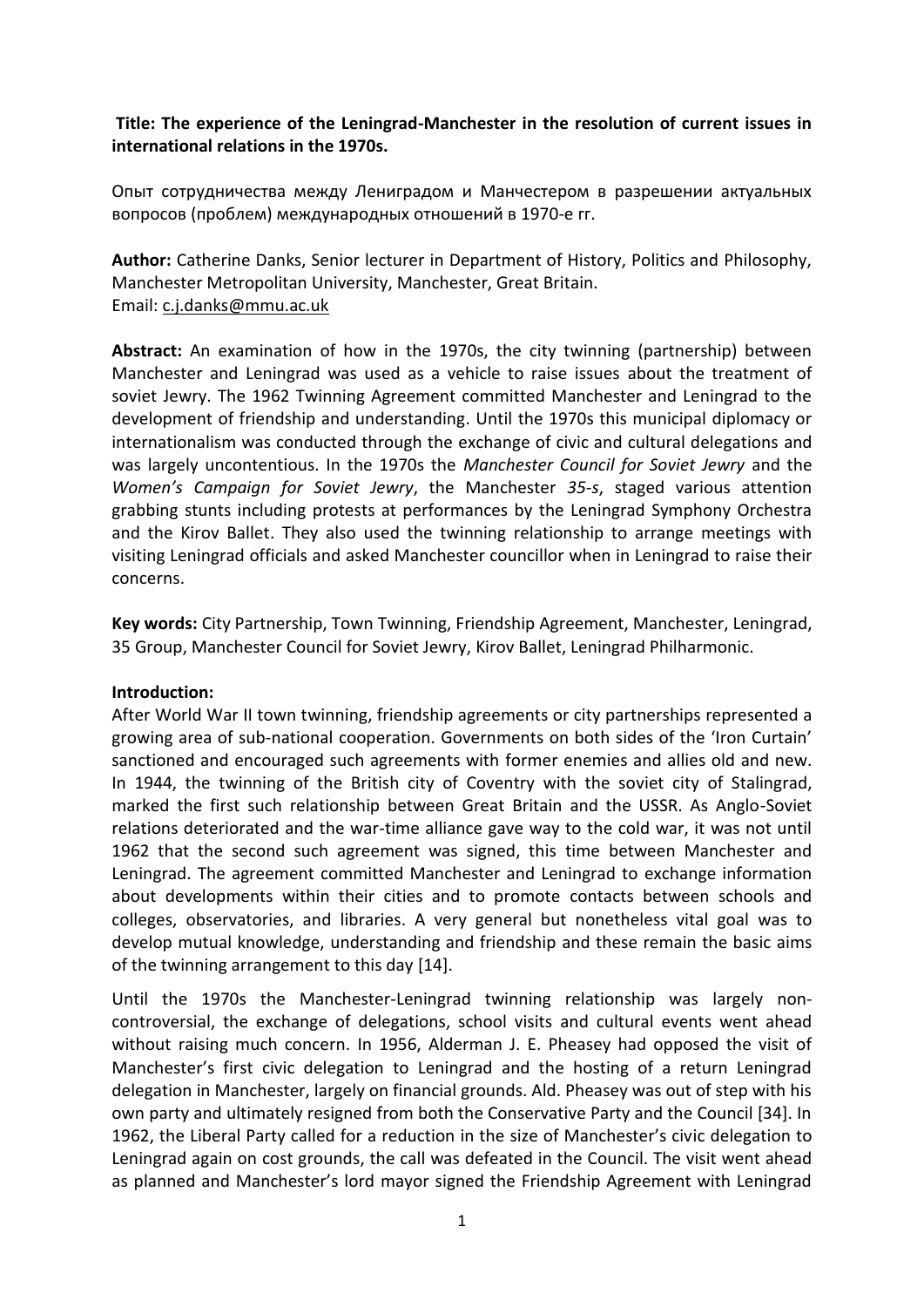# **Title: The experience of the Leningrad-Manchester in the resolution of current issues in international relations in the 1970s.**

Опыт сотрудничества между Лениградом и Манчестером в разрешении актуальных вопросов (проблем) международных отношений в 1970-е гг.

**Author:** Catherine Danks, Senior lecturer in Department of History, Politics and Philosophy, Manchester Metropolitan University, Manchester, Great Britain. Email: [c.j.danks@mmu.ac.uk](mailto:c.j.danks@mmu.ac.uk)

**Abstract:** An examination of how in the 1970s, the city twinning (partnership) between Manchester and Leningrad was used as a vehicle to raise issues about the treatment of soviet Jewry. The 1962 Twinning Agreement committed Manchester and Leningrad to the development of friendship and understanding. Until the 1970s this municipal diplomacy or internationalism was conducted through the exchange of civic and cultural delegations and was largely uncontentious. In the 1970s the *Manchester Council for Soviet Jewry* and the *Women's Campaign for Soviet Jewry*, the Manchester *35-s*, staged various attention grabbing stunts including protests at performances by the Leningrad Symphony Orchestra and the Kirov Ballet. They also used the twinning relationship to arrange meetings with visiting Leningrad officials and asked Manchester councillor when in Leningrad to raise their concerns.

**Key words:** City Partnership, Town Twinning, Friendship Agreement, Manchester, Leningrad, 35 Group, Manchester Council for Soviet Jewry, Kirov Ballet, Leningrad Philharmonic.

### **Introduction:**

After World War II town twinning, friendship agreements or city partnerships represented a growing area of sub-national cooperation. Governments on both sides of the 'Iron Curtain' sanctioned and encouraged such agreements with former enemies and allies old and new. In 1944, the twinning of the British city of Coventry with the soviet city of Stalingrad, marked the first such relationship between Great Britain and the USSR. As Anglo-Soviet relations deteriorated and the war-time alliance gave way to the cold war, it was not until 1962 that the second such agreement was signed, this time between Manchester and Leningrad. The agreement committed Manchester and Leningrad to exchange information about developments within their cities and to promote contacts between schools and colleges, observatories, and libraries. A very general but nonetheless vital goal was to develop mutual knowledge, understanding and friendship and these remain the basic aims of the twinning arrangement to this day [14].

Until the 1970s the Manchester-Leningrad twinning relationship was largely noncontroversial, the exchange of delegations, school visits and cultural events went ahead without raising much concern. In 1956, Alderman J. E. Pheasey had opposed the visit of Manchester's first civic delegation to Leningrad and the hosting of a return Leningrad delegation in Manchester, largely on financial grounds. Ald. Pheasey was out of step with his own party and ultimately resigned from both the Conservative Party and the Council [34]. In 1962, the Liberal Party called for a reduction in the size of Manchester's civic delegation to Leningrad again on cost grounds, the call was defeated in the Council. The visit went ahead as planned and Manchester's lord mayor signed the Friendship Agreement with Leningrad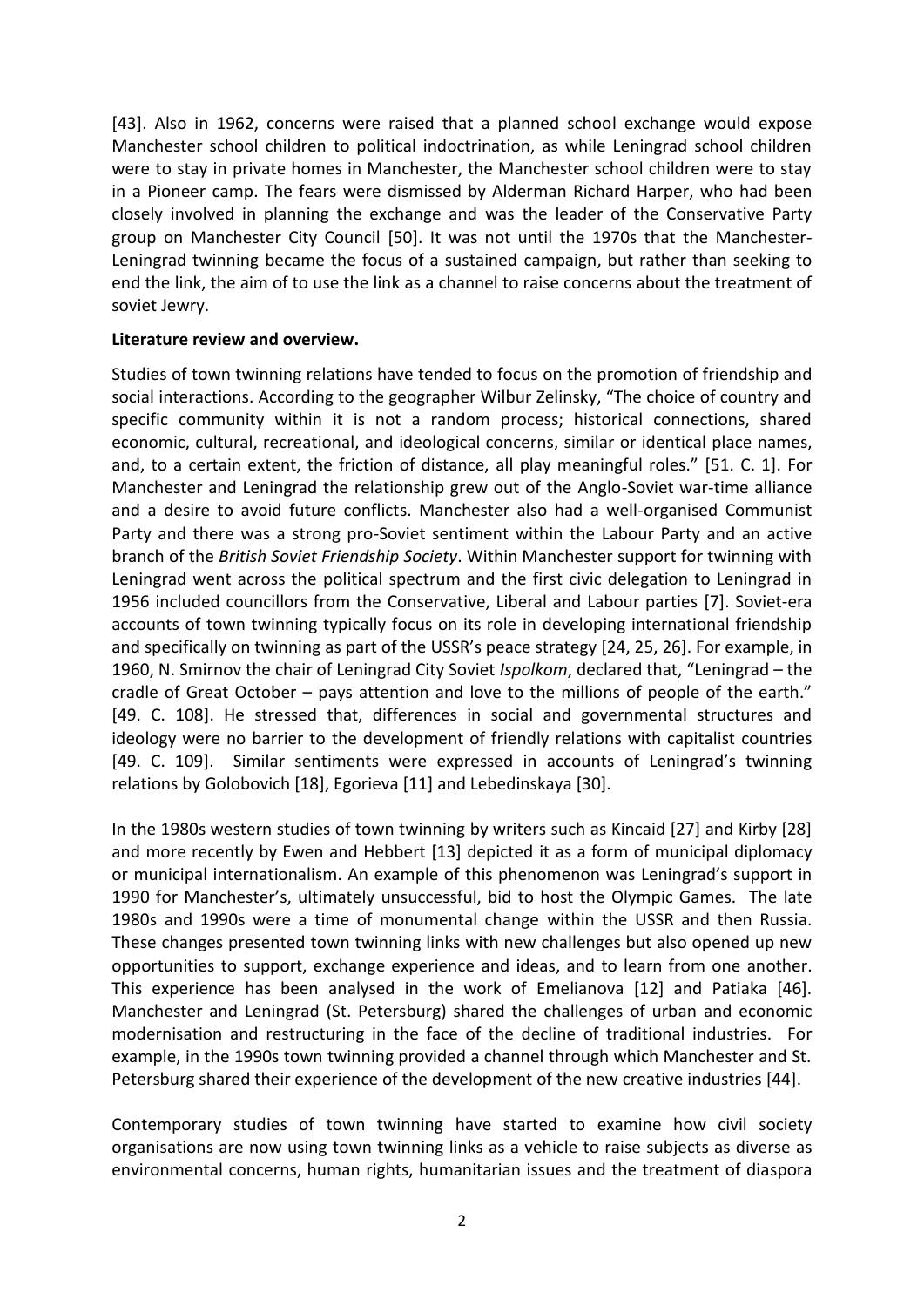[43]. Also in 1962, concerns were raised that a planned school exchange would expose Manchester school children to political indoctrination, as while Leningrad school children were to stay in private homes in Manchester, the Manchester school children were to stay in a Pioneer camp. The fears were dismissed by Alderman Richard Harper, who had been closely involved in planning the exchange and was the leader of the Conservative Party group on Manchester City Council [50]. It was not until the 1970s that the Manchester-Leningrad twinning became the focus of a sustained campaign, but rather than seeking to end the link, the aim of to use the link as a channel to raise concerns about the treatment of soviet Jewry.

### **Literature review and overview.**

Studies of town twinning relations have tended to focus on the promotion of friendship and social interactions. According to the geographer Wilbur Zelinsky, "The choice of country and specific community within it is not a random process; historical connections, shared economic, cultural, recreational, and ideological concerns, similar or identical place names, and, to a certain extent, the friction of distance, all play meaningful roles." [51. C. 1]. For Manchester and Leningrad the relationship grew out of the Anglo-Soviet war-time alliance and a desire to avoid future conflicts. Manchester also had a well-organised Communist Party and there was a strong pro-Soviet sentiment within the Labour Party and an active branch of the *British Soviet Friendship Society*. Within Manchester support for twinning with Leningrad went across the political spectrum and the first civic delegation to Leningrad in 1956 included councillors from the Conservative, Liberal and Labour parties [7]. Soviet-era accounts of town twinning typically focus on its role in developing international friendship and specifically on twinning as part of the USSR's peace strategy [24, 25, 26]. For example, in 1960, N. Smirnov the chair of Leningrad City Soviet *Ispolkom*, declared that, "Leningrad – the cradle of Great October – pays attention and love to the millions of people of the earth." [49. C. 108]. He stressed that, differences in social and governmental structures and ideology were no barrier to the development of friendly relations with capitalist countries [49. C. 109]. Similar sentiments were expressed in accounts of Leningrad's twinning relations by Golobovich [18], Egorieva [11] and Lebedinskaya [30].

In the 1980s western studies of town twinning by writers such as Kincaid [27] and Kirby [28] and more recently by Ewen and Hebbert [13] depicted it as a form of municipal diplomacy or municipal internationalism. An example of this phenomenon was Leningrad's support in 1990 for Manchester's, ultimately unsuccessful, bid to host the Olympic Games. The late 1980s and 1990s were a time of monumental change within the USSR and then Russia. These changes presented town twinning links with new challenges but also opened up new opportunities to support, exchange experience and ideas, and to learn from one another. This experience has been analysed in the work of Emelianova [12] and Patiaka [46]. Manchester and Leningrad (St. Petersburg) shared the challenges of urban and economic modernisation and restructuring in the face of the decline of traditional industries. For example, in the 1990s town twinning provided a channel through which Manchester and St. Petersburg shared their experience of the development of the new creative industries [44].

Contemporary studies of town twinning have started to examine how civil society organisations are now using town twinning links as a vehicle to raise subjects as diverse as environmental concerns, human rights, humanitarian issues and the treatment of diaspora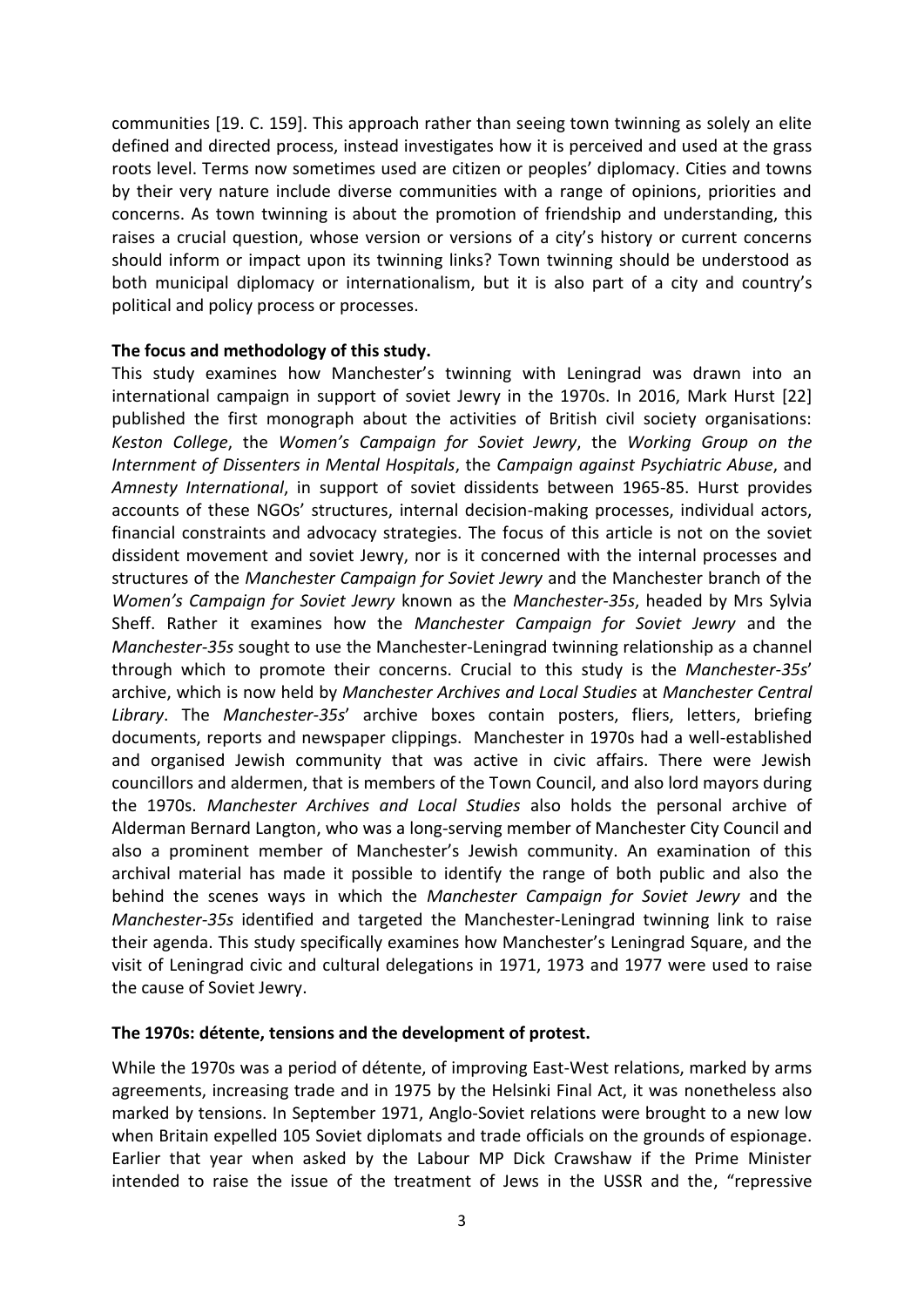communities [19. C. 159]. This approach rather than seeing town twinning as solely an elite defined and directed process, instead investigates how it is perceived and used at the grass roots level. Terms now sometimes used are citizen or peoples' diplomacy. Cities and towns by their very nature include diverse communities with a range of opinions, priorities and concerns. As town twinning is about the promotion of friendship and understanding, this raises a crucial question, whose version or versions of a city's history or current concerns should inform or impact upon its twinning links? Town twinning should be understood as both municipal diplomacy or internationalism, but it is also part of a city and country's political and policy process or processes.

### **The focus and methodology of this study.**

This study examines how Manchester's twinning with Leningrad was drawn into an international campaign in support of soviet Jewry in the 1970s. In 2016, Mark Hurst [22] published the first monograph about the activities of British civil society organisations: *Keston College*, the *Women's Campaign for Soviet Jewry*, the *Working Group on the Internment of Dissenters in Mental Hospitals*, the *Campaign against Psychiatric Abuse*, and *Amnesty International*, in support of soviet dissidents between 1965-85. Hurst provides accounts of these NGOs' structures, internal decision-making processes, individual actors, financial constraints and advocacy strategies. The focus of this article is not on the soviet dissident movement and soviet Jewry, nor is it concerned with the internal processes and structures of the *Manchester Campaign for Soviet Jewry* and the Manchester branch of the *Women's Campaign for Soviet Jewry* known as the *Manchester-35s*, headed by Mrs Sylvia Sheff. Rather it examines how the *Manchester Campaign for Soviet Jewry* and the *Manchester-35s* sought to use the Manchester-Leningrad twinning relationship as a channel through which to promote their concerns. Crucial to this study is the *Manchester-35s*' archive, which is now held by *Manchester Archives and Local Studies* at *Manchester Central Library*. The *Manchester-35s*' archive boxes contain posters, fliers, letters, briefing documents, reports and newspaper clippings. Manchester in 1970s had a well-established and organised Jewish community that was active in civic affairs. There were Jewish councillors and aldermen, that is members of the Town Council, and also lord mayors during the 1970s. *Manchester Archives and Local Studies* also holds the personal archive of Alderman Bernard Langton, who was a long-serving member of Manchester City Council and also a prominent member of Manchester's Jewish community. An examination of this archival material has made it possible to identify the range of both public and also the behind the scenes ways in which the *Manchester Campaign for Soviet Jewry* and the *Manchester-35s* identified and targeted the Manchester-Leningrad twinning link to raise their agenda. This study specifically examines how Manchester's Leningrad Square, and the visit of Leningrad civic and cultural delegations in 1971, 1973 and 1977 were used to raise the cause of Soviet Jewry.

### **The 1970s: détente, tensions and the development of protest.**

While the 1970s was a period of détente, of improving East-West relations, marked by arms agreements, increasing trade and in 1975 by the Helsinki Final Act, it was nonetheless also marked by tensions. In September 1971, Anglo-Soviet relations were brought to a new low when Britain expelled 105 Soviet diplomats and trade officials on the grounds of espionage. Earlier that year when asked by the Labour MP Dick Crawshaw if the Prime Minister intended to raise the issue of the treatment of Jews in the USSR and the, "repressive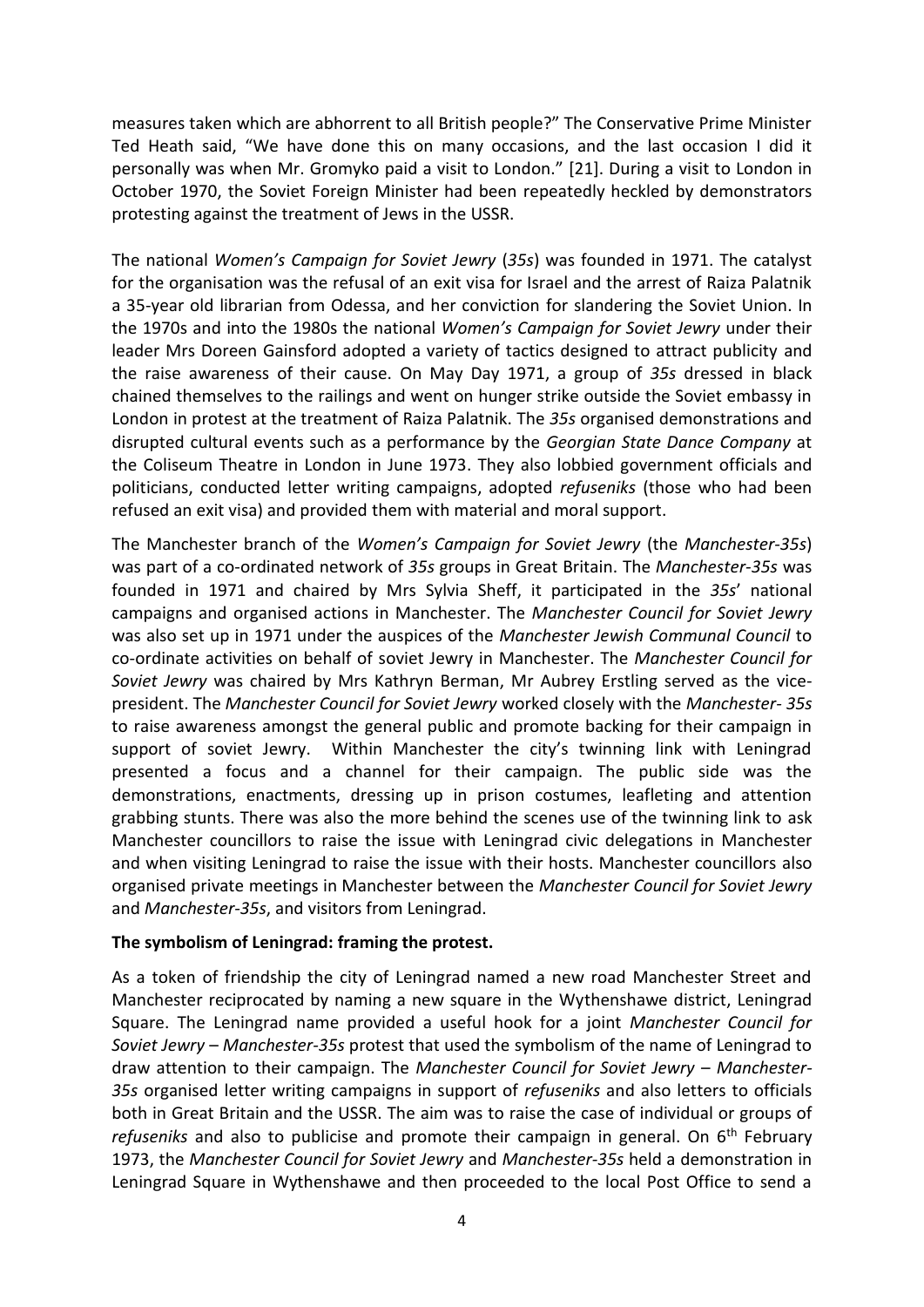measures taken which are abhorrent to all British people?" The Conservative Prime Minister Ted Heath said, "We have done this on many occasions, and the last occasion I did it personally was when Mr. Gromyko paid a visit to London." [21]. During a visit to London in October 1970, the Soviet Foreign Minister had been repeatedly heckled by demonstrators protesting against the treatment of Jews in the USSR.

The national *Women's Campaign for Soviet Jewry* (*35s*) was founded in 1971. The catalyst for the organisation was the refusal of an exit visa for Israel and the arrest of Raiza Palatnik a 35-year old librarian from Odessa, and her conviction for slandering the Soviet Union. In the 1970s and into the 1980s the national *Women's Campaign for Soviet Jewry* under their leader Mrs Doreen Gainsford adopted a variety of tactics designed to attract publicity and the raise awareness of their cause. On May Day 1971, a group of *35s* dressed in black chained themselves to the railings and went on hunger strike outside the Soviet embassy in London in protest at the treatment of Raiza Palatnik. The *35s* organised demonstrations and disrupted cultural events such as a performance by the *Georgian State Dance Company* at the Coliseum Theatre in London in June 1973. They also lobbied government officials and politicians, conducted letter writing campaigns, adopted *refuseniks* (those who had been refused an exit visa) and provided them with material and moral support.

The Manchester branch of the *Women's Campaign for Soviet Jewry* (the *Manchester-35s*) was part of a co-ordinated network of *35s* groups in Great Britain. The *Manchester-35s* was founded in 1971 and chaired by Mrs Sylvia Sheff, it participated in the *35s*' national campaigns and organised actions in Manchester. The *Manchester Council for Soviet Jewry* was also set up in 1971 under the auspices of the *Manchester Jewish Communal Council* to co-ordinate activities on behalf of soviet Jewry in Manchester. The *Manchester Council for Soviet Jewry* was chaired by Mrs Kathryn Berman, Mr Aubrey Erstling served as the vicepresident. The *Manchester Council for Soviet Jewry* worked closely with the *Manchester- 35s* to raise awareness amongst the general public and promote backing for their campaign in support of soviet Jewry. Within Manchester the city's twinning link with Leningrad presented a focus and a channel for their campaign. The public side was the demonstrations, enactments, dressing up in prison costumes, leafleting and attention grabbing stunts. There was also the more behind the scenes use of the twinning link to ask Manchester councillors to raise the issue with Leningrad civic delegations in Manchester and when visiting Leningrad to raise the issue with their hosts. Manchester councillors also organised private meetings in Manchester between the *Manchester Council for Soviet Jewry* and *Manchester-35s*, and visitors from Leningrad.

### **The symbolism of Leningrad: framing the protest.**

As a token of friendship the city of Leningrad named a new road Manchester Street and Manchester reciprocated by naming a new square in the Wythenshawe district, Leningrad Square. The Leningrad name provided a useful hook for a joint *Manchester Council for Soviet Jewry* – *Manchester-35s* protest that used the symbolism of the name of Leningrad to draw attention to their campaign. The *Manchester Council for Soviet Jewry* – *Manchester-35s* organised letter writing campaigns in support of *refuseniks* and also letters to officials both in Great Britain and the USSR. The aim was to raise the case of individual or groups of refuseniks and also to publicise and promote their campaign in general. On 6<sup>th</sup> February 1973, the *Manchester Council for Soviet Jewry* and *Manchester-35s* held a demonstration in Leningrad Square in Wythenshawe and then proceeded to the local Post Office to send a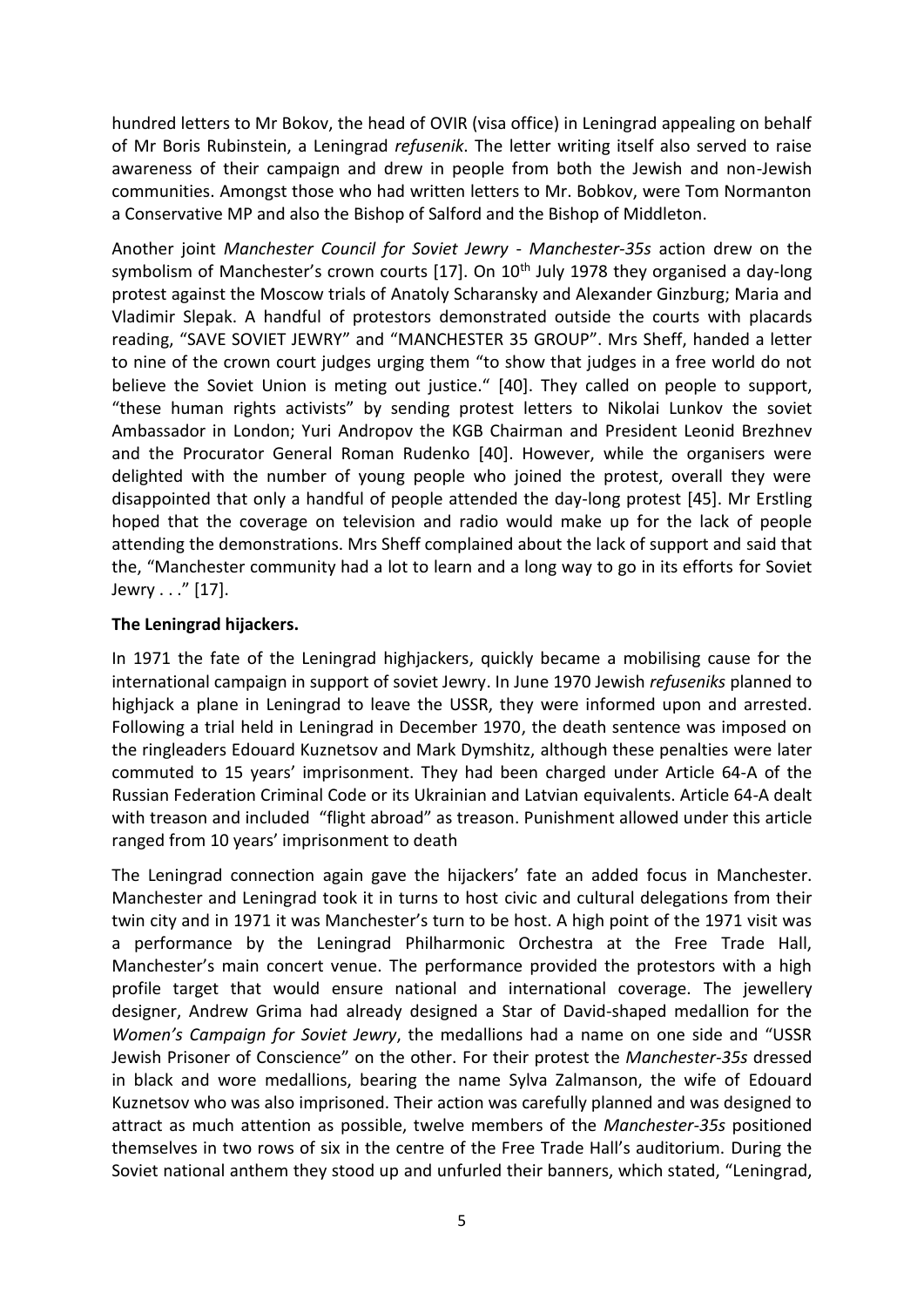hundred letters to Mr Bokov, the head of OVIR (visa office) in Leningrad appealing on behalf of Mr Boris Rubinstein, a Leningrad *refusenik*. The letter writing itself also served to raise awareness of their campaign and drew in people from both the Jewish and non-Jewish communities. Amongst those who had written letters to Mr. Bobkov, were Tom Normanton a Conservative MP and also the Bishop of Salford and the Bishop of Middleton.

Another joint *Manchester Council for Soviet Jewry* - *Manchester-35s* action drew on the symbolism of Manchester's crown courts  $[17]$ . On  $10<sup>th</sup>$  July 1978 they organised a day-long protest against the Moscow trials of Anatoly Scharansky and Alexander Ginzburg; Maria and Vladimir Slepak. A handful of protestors demonstrated outside the courts with placards reading, "SAVE SOVIET JEWRY" and "MANCHESTER 35 GROUP". Mrs Sheff, handed a letter to nine of the crown court judges urging them "to show that judges in a free world do not believe the Soviet Union is meting out justice." [40]. They called on people to support, "these human rights activists" by sending protest letters to Nikolai Lunkov the soviet Ambassador in London; Yuri Andropov the KGB Chairman and President Leonid Brezhnev and the Procurator General Roman Rudenko [40]. However, while the organisers were delighted with the number of young people who joined the protest, overall they were disappointed that only a handful of people attended the day-long protest [45]. Mr Erstling hoped that the coverage on television and radio would make up for the lack of people attending the demonstrations. Mrs Sheff complained about the lack of support and said that the, "Manchester community had a lot to learn and a long way to go in its efforts for Soviet Jewry . . ." [17].

### **The Leningrad hijackers.**

In 1971 the fate of the Leningrad highjackers, quickly became a mobilising cause for the international campaign in support of soviet Jewry. In June 1970 Jewish *refuseniks* planned to highjack a plane in Leningrad to leave the USSR, they were informed upon and arrested. Following a trial held in Leningrad in December 1970, the death sentence was imposed on the ringleaders Edouard Kuznetsov and Mark Dymshitz, although these penalties were later commuted to 15 years' imprisonment. They had been charged under Article 64-A of the Russian Federation Criminal Code or its Ukrainian and Latvian equivalents. Article 64-A dealt with treason and included "flight abroad" as treason. Punishment allowed under this article ranged from 10 years' imprisonment to death

The Leningrad connection again gave the hijackers' fate an added focus in Manchester. Manchester and Leningrad took it in turns to host civic and cultural delegations from their twin city and in 1971 it was Manchester's turn to be host. A high point of the 1971 visit was a performance by the Leningrad Philharmonic Orchestra at the Free Trade Hall, Manchester's main concert venue. The performance provided the protestors with a high profile target that would ensure national and international coverage. The jewellery designer, Andrew Grima had already designed a Star of David-shaped medallion for the *Women's Campaign for Soviet Jewry*, the medallions had a name on one side and "USSR Jewish Prisoner of Conscience" on the other. For their protest the *Manchester-35s* dressed in black and wore medallions, bearing the name Sylva Zalmanson, the wife of Edouard Kuznetsov who was also imprisoned. Their action was carefully planned and was designed to attract as much attention as possible, twelve members of the *Manchester-35s* positioned themselves in two rows of six in the centre of the Free Trade Hall's auditorium. During the Soviet national anthem they stood up and unfurled their banners, which stated, "Leningrad,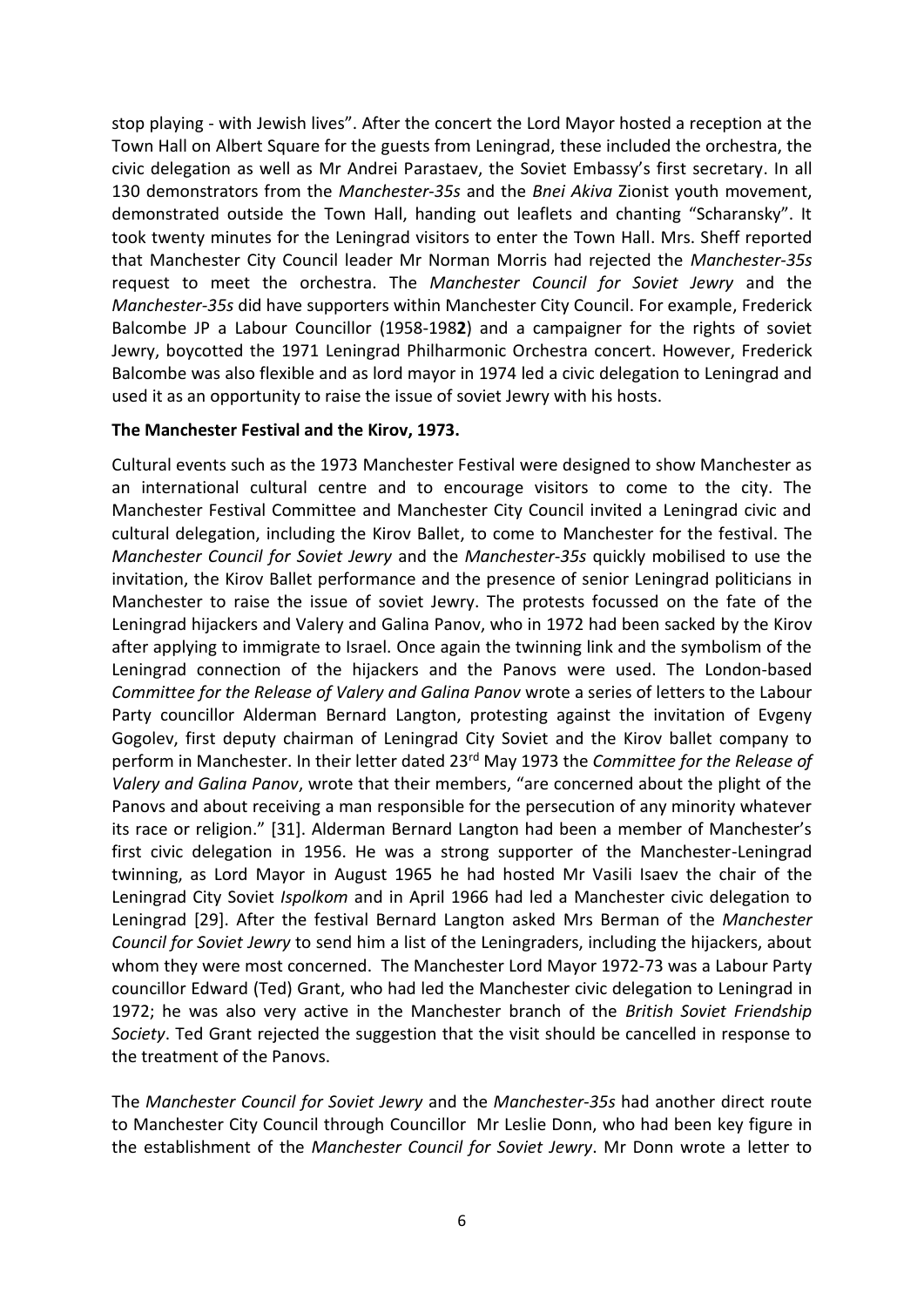stop playing - with Jewish lives". After the concert the Lord Mayor hosted a reception at the Town Hall on Albert Square for the guests from Leningrad, these included the orchestra, the civic delegation as well as Mr Andrei Parastaev, the Soviet Embassy's first secretary. In all 130 demonstrators from the *Manchester-35s* and the *Bnei Akiva* Zionist youth movement, demonstrated outside the Town Hall, handing out leaflets and chanting "Scharansky". It took twenty minutes for the Leningrad visitors to enter the Town Hall. Mrs. Sheff reported that Manchester City Council leader Mr Norman Morris had rejected the *Manchester-35s* request to meet the orchestra. The *Manchester Council for Soviet Jewry* and the *Manchester-35s* did have supporters within Manchester City Council. For example, Frederick Balcombe JP a Labour Councillor (1958-198**2**) and a campaigner for the rights of soviet Jewry, boycotted the 1971 Leningrad Philharmonic Orchestra concert. However, Frederick Balcombe was also flexible and as lord mayor in 1974 led a civic delegation to Leningrad and used it as an opportunity to raise the issue of soviet Jewry with his hosts.

### **The Manchester Festival and the Kirov, 1973.**

Cultural events such as the 1973 Manchester Festival were designed to show Manchester as an international cultural centre and to encourage visitors to come to the city. The Manchester Festival Committee and Manchester City Council invited a Leningrad civic and cultural delegation, including the Kirov Ballet, to come to Manchester for the festival. The *Manchester Council for Soviet Jewry* and the *Manchester-35s* quickly mobilised to use the invitation, the Kirov Ballet performance and the presence of senior Leningrad politicians in Manchester to raise the issue of soviet Jewry. The protests focussed on the fate of the Leningrad hijackers and Valery and Galina Panov, who in 1972 had been sacked by the Kirov after applying to immigrate to Israel. Once again the twinning link and the symbolism of the Leningrad connection of the hijackers and the Panovs were used. The London-based *Committee for the Release of Valery and Galina Panov* wrote a series of letters to the Labour Party councillor Alderman Bernard Langton, protesting against the invitation of Evgeny Gogolev, first deputy chairman of Leningrad City Soviet and the Kirov ballet company to perform in Manchester. In their letter dated 23rd May 1973 the *Committee for the Release of Valery and Galina Panov*, wrote that their members, "are concerned about the plight of the Panovs and about receiving a man responsible for the persecution of any minority whatever its race or religion." [31]. Alderman Bernard Langton had been a member of Manchester's first civic delegation in 1956. He was a strong supporter of the Manchester-Leningrad twinning, as Lord Mayor in August 1965 he had hosted Mr Vasili Isaev the chair of the Leningrad City Soviet *Ispolkom* and in April 1966 had led a Manchester civic delegation to Leningrad [29]. After the festival Bernard Langton asked Mrs Berman of the *Manchester Council for Soviet Jewry* to send him a list of the Leningraders, including the hijackers, about whom they were most concerned. The Manchester Lord Mayor 1972-73 was a Labour Party councillor Edward (Ted) Grant, who had led the Manchester civic delegation to Leningrad in 1972; he was also very active in the Manchester branch of the *British Soviet Friendship Society*. Ted Grant rejected the suggestion that the visit should be cancelled in response to the treatment of the Panovs.

The *Manchester Council for Soviet Jewry* and the *Manchester-35s* had another direct route to Manchester City Council through Councillor Mr Leslie Donn, who had been key figure in the establishment of the *Manchester Council for Soviet Jewry*. Mr Donn wrote a letter to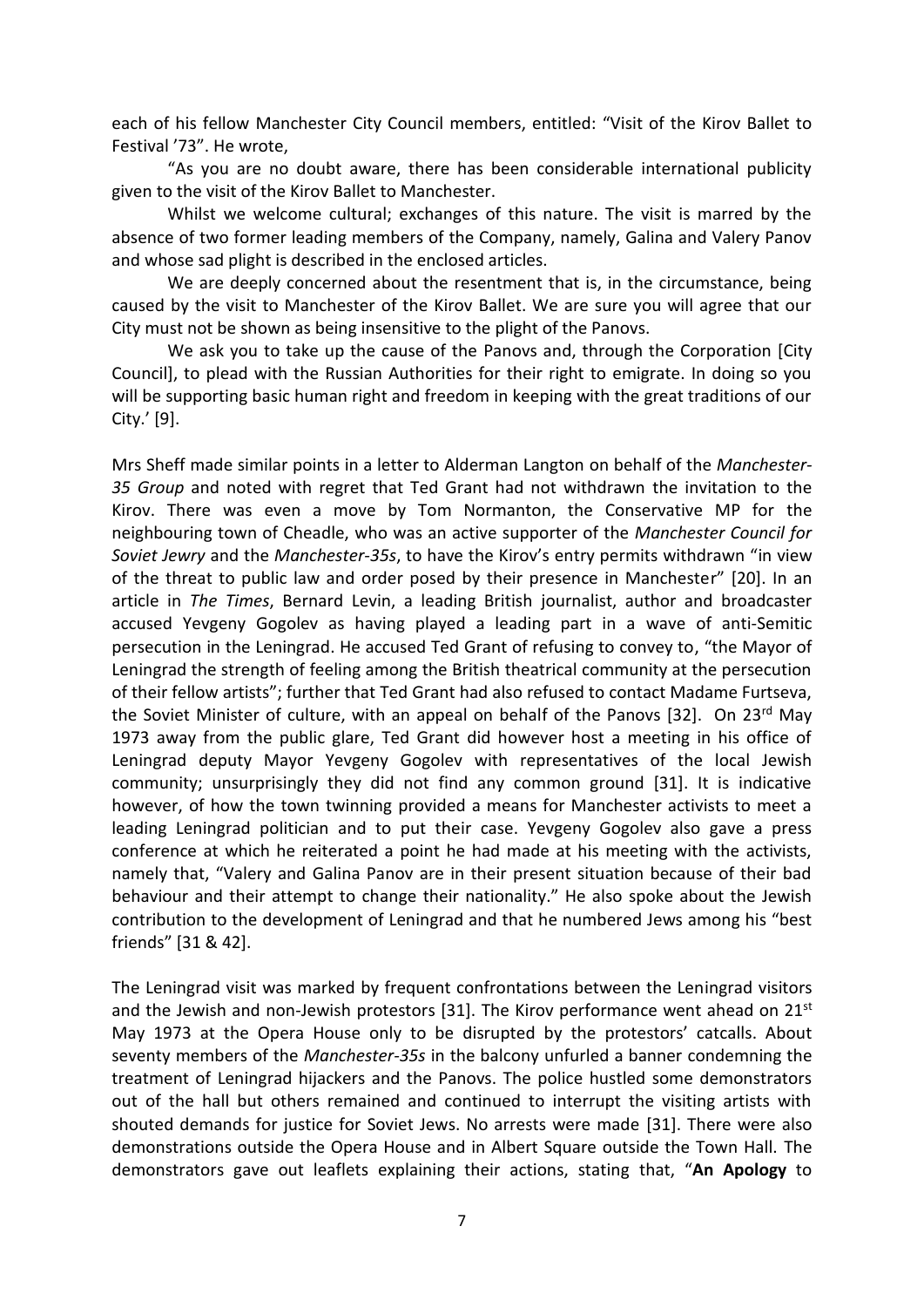each of his fellow Manchester City Council members, entitled: "Visit of the Kirov Ballet to Festival '73". He wrote,

"As you are no doubt aware, there has been considerable international publicity given to the visit of the Kirov Ballet to Manchester.

Whilst we welcome cultural; exchanges of this nature. The visit is marred by the absence of two former leading members of the Company, namely, Galina and Valery Panov and whose sad plight is described in the enclosed articles.

We are deeply concerned about the resentment that is, in the circumstance, being caused by the visit to Manchester of the Kirov Ballet. We are sure you will agree that our City must not be shown as being insensitive to the plight of the Panovs.

We ask you to take up the cause of the Panovs and, through the Corporation [City Council], to plead with the Russian Authorities for their right to emigrate. In doing so you will be supporting basic human right and freedom in keeping with the great traditions of our City.' [9].

Mrs Sheff made similar points in a letter to Alderman Langton on behalf of the *Manchester-35 Group* and noted with regret that Ted Grant had not withdrawn the invitation to the Kirov. There was even a move by Tom Normanton, the Conservative MP for the neighbouring town of Cheadle, who was an active supporter of the *Manchester Council for Soviet Jewry* and the *Manchester-35s*, to have the Kirov's entry permits withdrawn "in view of the threat to public law and order posed by their presence in Manchester" [20]. In an article in *The Times*, Bernard Levin, a leading British journalist, author and broadcaster accused Yevgeny Gogolev as having played a leading part in a wave of anti-Semitic persecution in the Leningrad. He accused Ted Grant of refusing to convey to, "the Mayor of Leningrad the strength of feeling among the British theatrical community at the persecution of their fellow artists"; further that Ted Grant had also refused to contact Madame Furtseva, the Soviet Minister of culture, with an appeal on behalf of the Panovs [32]. On 23<sup>rd</sup> May 1973 away from the public glare, Ted Grant did however host a meeting in his office of Leningrad deputy Mayor Yevgeny Gogolev with representatives of the local Jewish community; unsurprisingly they did not find any common ground [31]. It is indicative however, of how the town twinning provided a means for Manchester activists to meet a leading Leningrad politician and to put their case. Yevgeny Gogolev also gave a press conference at which he reiterated a point he had made at his meeting with the activists, namely that, "Valery and Galina Panov are in their present situation because of their bad behaviour and their attempt to change their nationality." He also spoke about the Jewish contribution to the development of Leningrad and that he numbered Jews among his "best friends" [31 & 42].

The Leningrad visit was marked by frequent confrontations between the Leningrad visitors and the Jewish and non-Jewish protestors [31]. The Kirov performance went ahead on 21<sup>st</sup> May 1973 at the Opera House only to be disrupted by the protestors' catcalls. About seventy members of the *Manchester-35s* in the balcony unfurled a banner condemning the treatment of Leningrad hijackers and the Panovs. The police hustled some demonstrators out of the hall but others remained and continued to interrupt the visiting artists with shouted demands for justice for Soviet Jews. No arrests were made [31]. There were also demonstrations outside the Opera House and in Albert Square outside the Town Hall. The demonstrators gave out leaflets explaining their actions, stating that, "**An Apology** to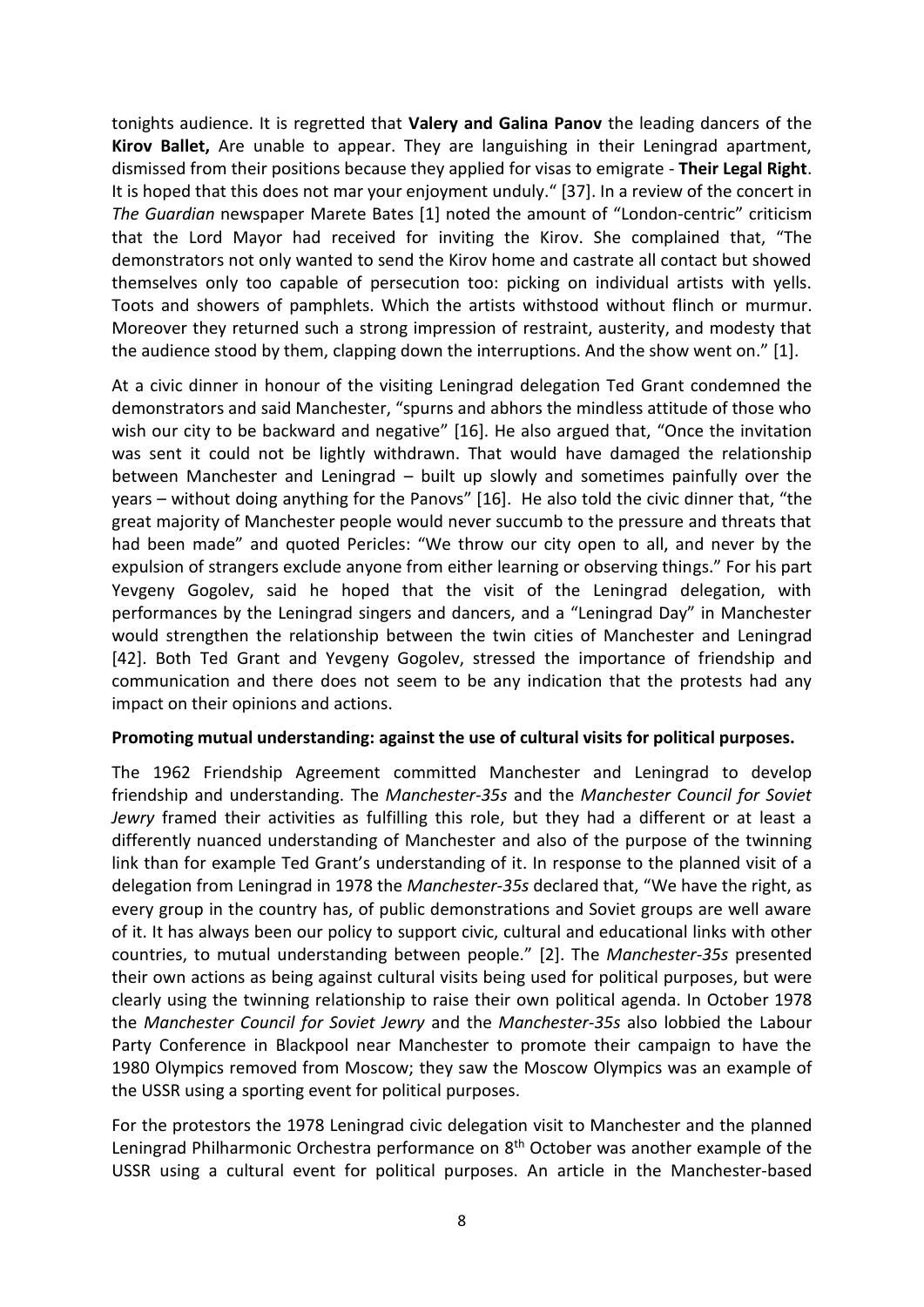tonights audience. It is regretted that **Valery and Galina Panov** the leading dancers of the **Kirov Ballet,** Are unable to appear. They are languishing in their Leningrad apartment, dismissed from their positions because they applied for visas to emigrate - **Their Legal Right**. It is hoped that this does not mar your enjoyment unduly." [37]. In a review of the concert in *The Guardian* newspaper Marete Bates [1] noted the amount of "London-centric" criticism that the Lord Mayor had received for inviting the Kirov. She complained that, "The demonstrators not only wanted to send the Kirov home and castrate all contact but showed themselves only too capable of persecution too: picking on individual artists with yells. Toots and showers of pamphlets. Which the artists withstood without flinch or murmur. Moreover they returned such a strong impression of restraint, austerity, and modesty that the audience stood by them, clapping down the interruptions. And the show went on." [1].

At a civic dinner in honour of the visiting Leningrad delegation Ted Grant condemned the demonstrators and said Manchester, "spurns and abhors the mindless attitude of those who wish our city to be backward and negative" [16]. He also argued that, "Once the invitation was sent it could not be lightly withdrawn. That would have damaged the relationship between Manchester and Leningrad – built up slowly and sometimes painfully over the years – without doing anything for the Panovs" [16]. He also told the civic dinner that, "the great majority of Manchester people would never succumb to the pressure and threats that had been made" and quoted Pericles: "We throw our city open to all, and never by the expulsion of strangers exclude anyone from either learning or observing things." For his part Yevgeny Gogolev, said he hoped that the visit of the Leningrad delegation, with performances by the Leningrad singers and dancers, and a "Leningrad Day" in Manchester would strengthen the relationship between the twin cities of Manchester and Leningrad [42]. Both Ted Grant and Yevgeny Gogolev, stressed the importance of friendship and communication and there does not seem to be any indication that the protests had any impact on their opinions and actions.

### **Promoting mutual understanding: against the use of cultural visits for political purposes.**

The 1962 Friendship Agreement committed Manchester and Leningrad to develop friendship and understanding. The *Manchester-35s* and the *Manchester Council for Soviet Jewry* framed their activities as fulfilling this role, but they had a different or at least a differently nuanced understanding of Manchester and also of the purpose of the twinning link than for example Ted Grant's understanding of it. In response to the planned visit of a delegation from Leningrad in 1978 the *Manchester-35s* declared that, "We have the right, as every group in the country has, of public demonstrations and Soviet groups are well aware of it. It has always been our policy to support civic, cultural and educational links with other countries, to mutual understanding between people." [2]. The *Manchester-35s* presented their own actions as being against cultural visits being used for political purposes, but were clearly using the twinning relationship to raise their own political agenda. In October 1978 the *Manchester Council for Soviet Jewry* and the *Manchester-35s* also lobbied the Labour Party Conference in Blackpool near Manchester to promote their campaign to have the 1980 Olympics removed from Moscow; they saw the Moscow Olympics was an example of the USSR using a sporting event for political purposes.

For the protestors the 1978 Leningrad civic delegation visit to Manchester and the planned Leningrad Philharmonic Orchestra performance on 8<sup>th</sup> October was another example of the USSR using a cultural event for political purposes. An article in the Manchester-based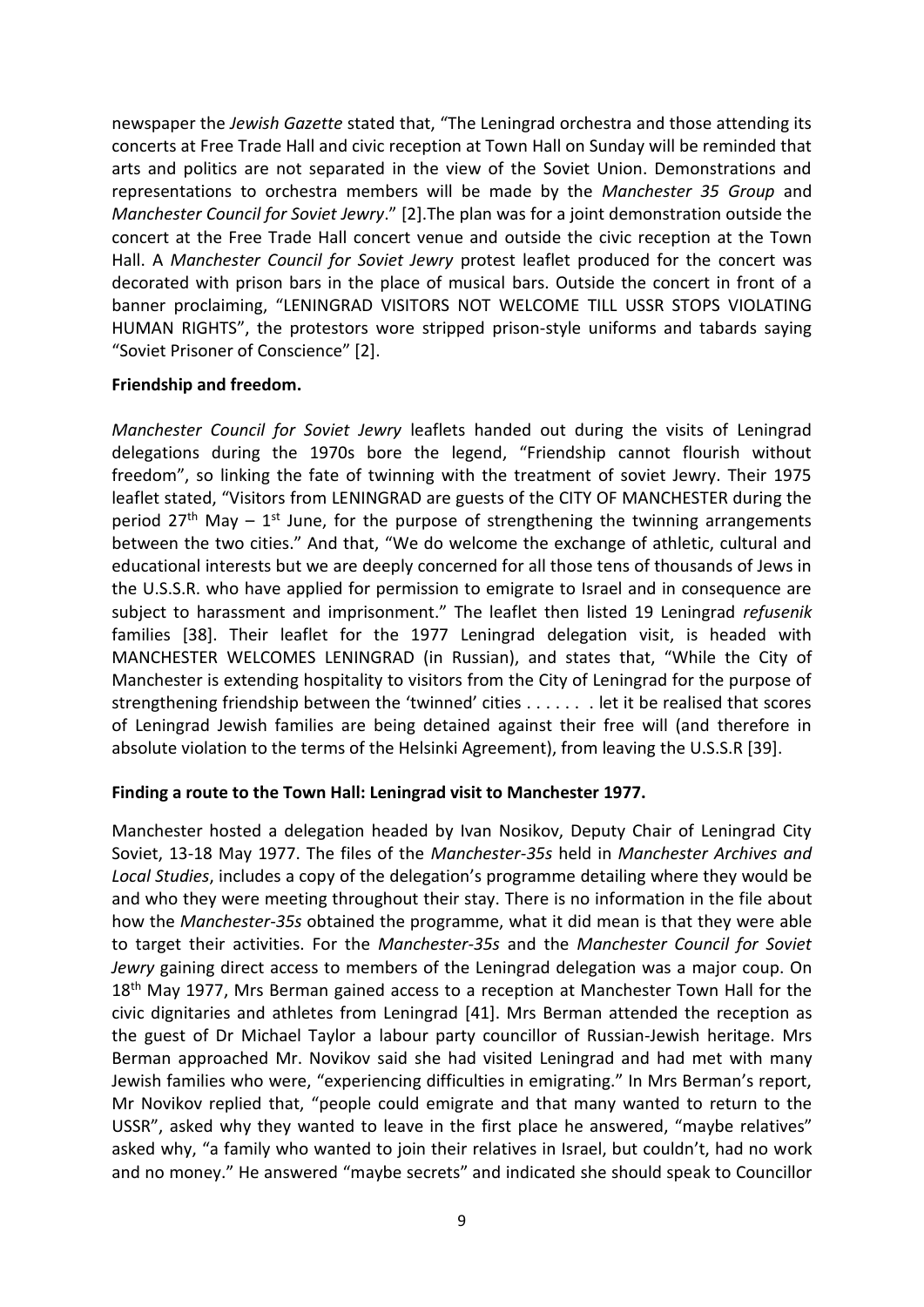newspaper the *Jewish Gazette* stated that, "The Leningrad orchestra and those attending its concerts at Free Trade Hall and civic reception at Town Hall on Sunday will be reminded that arts and politics are not separated in the view of the Soviet Union. Demonstrations and representations to orchestra members will be made by the *Manchester 35 Group* and *Manchester Council for Soviet Jewry*." [2].The plan was for a joint demonstration outside the concert at the Free Trade Hall concert venue and outside the civic reception at the Town Hall. A *Manchester Council for Soviet Jewry* protest leaflet produced for the concert was decorated with prison bars in the place of musical bars. Outside the concert in front of a banner proclaiming, "LENINGRAD VISITORS NOT WELCOME TILL USSR STOPS VIOLATING HUMAN RIGHTS", the protestors wore stripped prison-style uniforms and tabards saying "Soviet Prisoner of Conscience" [2].

### **Friendship and freedom.**

*Manchester Council for Soviet Jewry* leaflets handed out during the visits of Leningrad delegations during the 1970s bore the legend, "Friendship cannot flourish without freedom", so linking the fate of twinning with the treatment of soviet Jewry. Their 1975 leaflet stated, "Visitors from LENINGRAD are guests of the CITY OF MANCHESTER during the period  $27<sup>th</sup>$  May –  $1<sup>st</sup>$  June, for the purpose of strengthening the twinning arrangements between the two cities." And that, "We do welcome the exchange of athletic, cultural and educational interests but we are deeply concerned for all those tens of thousands of Jews in the U.S.S.R. who have applied for permission to emigrate to Israel and in consequence are subject to harassment and imprisonment." The leaflet then listed 19 Leningrad *refusenik* families [38]. Their leaflet for the 1977 Leningrad delegation visit, is headed with MANCHESTER WELCOMES LENINGRAD (in Russian), and states that, "While the City of Manchester is extending hospitality to visitors from the City of Leningrad for the purpose of strengthening friendship between the 'twinned' cities . . . . . . . let it be realised that scores of Leningrad Jewish families are being detained against their free will (and therefore in absolute violation to the terms of the Helsinki Agreement), from leaving the U.S.S.R [39].

### **Finding a route to the Town Hall: Leningrad visit to Manchester 1977.**

Manchester hosted a delegation headed by Ivan Nosikov, Deputy Chair of Leningrad City Soviet, 13-18 May 1977. The files of the *Manchester-35s* held in *Manchester Archives and Local Studies*, includes a copy of the delegation's programme detailing where they would be and who they were meeting throughout their stay. There is no information in the file about how the *Manchester-35s* obtained the programme, what it did mean is that they were able to target their activities. For the *Manchester-35s* and the *Manchester Council for Soviet Jewry* gaining direct access to members of the Leningrad delegation was a major coup. On 18<sup>th</sup> May 1977, Mrs Berman gained access to a reception at Manchester Town Hall for the civic dignitaries and athletes from Leningrad [41]. Mrs Berman attended the reception as the guest of Dr Michael Taylor a labour party councillor of Russian-Jewish heritage. Mrs Berman approached Mr. Novikov said she had visited Leningrad and had met with many Jewish families who were, "experiencing difficulties in emigrating." In Mrs Berman's report, Mr Novikov replied that, "people could emigrate and that many wanted to return to the USSR", asked why they wanted to leave in the first place he answered, "maybe relatives" asked why, "a family who wanted to join their relatives in Israel, but couldn't, had no work and no money." He answered "maybe secrets" and indicated she should speak to Councillor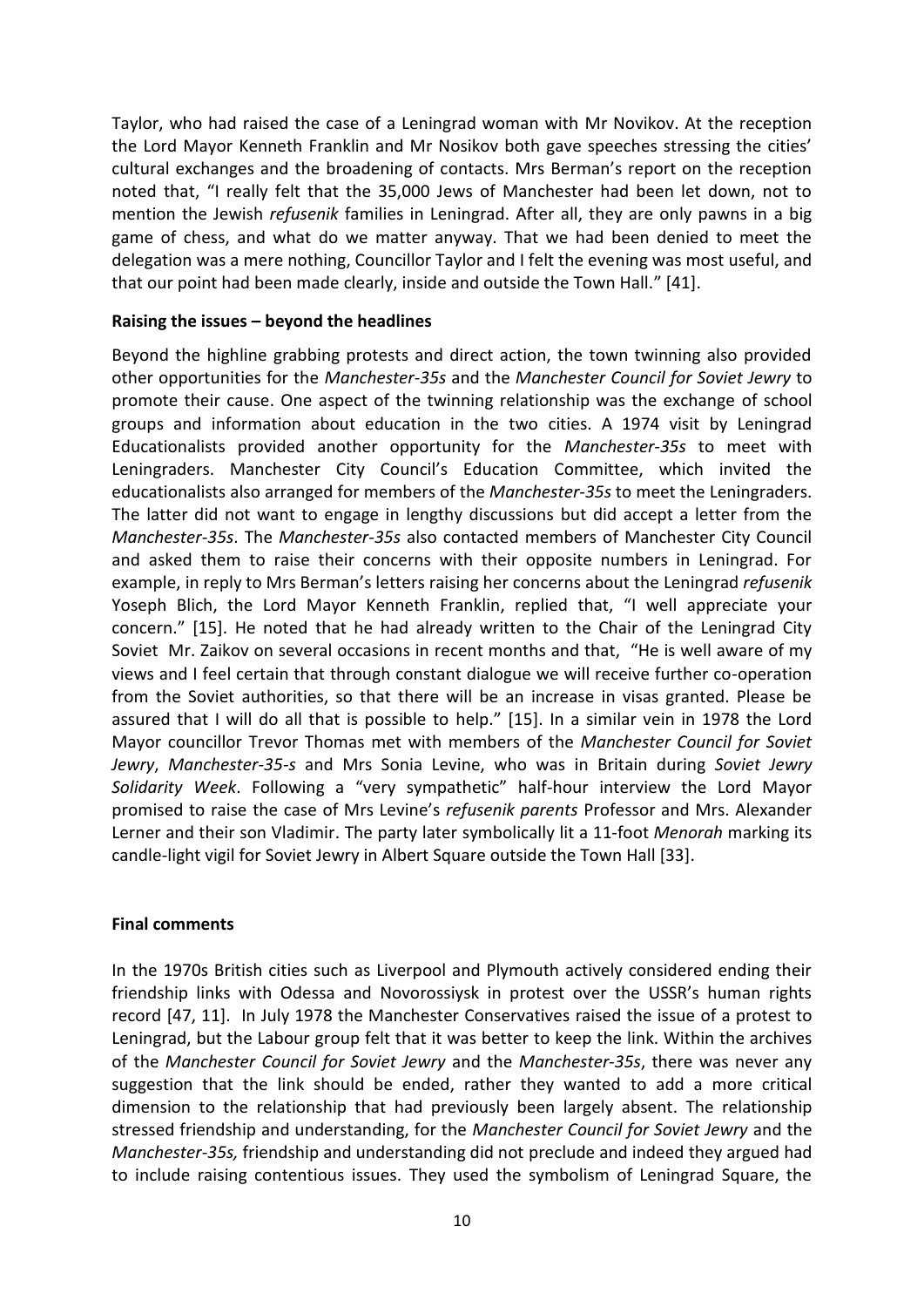Taylor, who had raised the case of a Leningrad woman with Mr Novikov. At the reception the Lord Mayor Kenneth Franklin and Mr Nosikov both gave speeches stressing the cities' cultural exchanges and the broadening of contacts. Mrs Berman's report on the reception noted that, "I really felt that the 35,000 Jews of Manchester had been let down, not to mention the Jewish *refusenik* families in Leningrad. After all, they are only pawns in a big game of chess, and what do we matter anyway. That we had been denied to meet the delegation was a mere nothing, Councillor Taylor and I felt the evening was most useful, and that our point had been made clearly, inside and outside the Town Hall." [41].

#### **Raising the issues – beyond the headlines**

Beyond the highline grabbing protests and direct action, the town twinning also provided other opportunities for the *Manchester-35s* and the *Manchester Council for Soviet Jewry* to promote their cause. One aspect of the twinning relationship was the exchange of school groups and information about education in the two cities. A 1974 visit by Leningrad Educationalists provided another opportunity for the *Manchester-35s* to meet with Leningraders. Manchester City Council's Education Committee, which invited the educationalists also arranged for members of the *Manchester-35s* to meet the Leningraders. The latter did not want to engage in lengthy discussions but did accept a letter from the *Manchester-35s*. The *Manchester-35s* also contacted members of Manchester City Council and asked them to raise their concerns with their opposite numbers in Leningrad. For example, in reply to Mrs Berman's letters raising her concerns about the Leningrad *refusenik* Yoseph Blich, the Lord Mayor Kenneth Franklin, replied that, "I well appreciate your concern." [15]. He noted that he had already written to the Chair of the Leningrad City Soviet Mr. Zaikov on several occasions in recent months and that, "He is well aware of my views and I feel certain that through constant dialogue we will receive further co-operation from the Soviet authorities, so that there will be an increase in visas granted. Please be assured that I will do all that is possible to help." [15]. In a similar vein in 1978 the Lord Mayor councillor Trevor Thomas met with members of the *Manchester Council for Soviet Jewry*, *Manchester-35-s* and Mrs Sonia Levine, who was in Britain during *Soviet Jewry Solidarity Week*. Following a "very sympathetic" half-hour interview the Lord Mayor promised to raise the case of Mrs Levine's *refusenik parents* Professor and Mrs. Alexander Lerner and their son Vladimir. The party later symbolically lit a 11-foot *Menorah* marking its candle-light vigil for Soviet Jewry in Albert Square outside the Town Hall [33].

### **Final comments**

In the 1970s British cities such as Liverpool and Plymouth actively considered ending their friendship links with Odessa and Novorossiysk in protest over the USSR's human rights record [47, 11]. In July 1978 the Manchester Conservatives raised the issue of a protest to Leningrad, but the Labour group felt that it was better to keep the link. Within the archives of the *Manchester Council for Soviet Jewry* and the *Manchester-35s*, there was never any suggestion that the link should be ended, rather they wanted to add a more critical dimension to the relationship that had previously been largely absent. The relationship stressed friendship and understanding, for the *Manchester Council for Soviet Jewry* and the *Manchester-35s,* friendship and understanding did not preclude and indeed they argued had to include raising contentious issues. They used the symbolism of Leningrad Square, the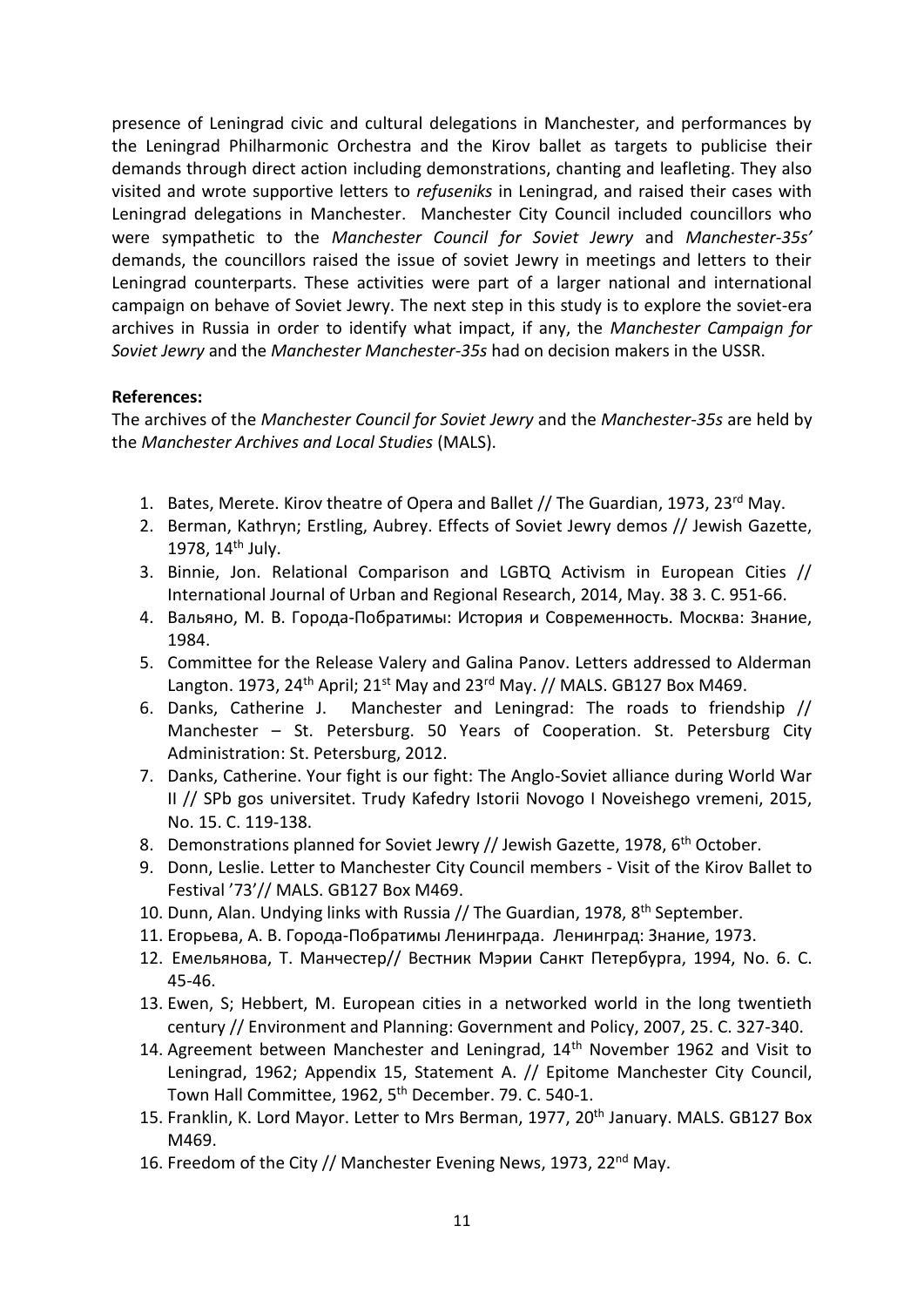presence of Leningrad civic and cultural delegations in Manchester, and performances by the Leningrad Philharmonic Orchestra and the Kirov ballet as targets to publicise their demands through direct action including demonstrations, chanting and leafleting. They also visited and wrote supportive letters to *refuseniks* in Leningrad, and raised their cases with Leningrad delegations in Manchester. Manchester City Council included councillors who were sympathetic to the *Manchester Council for Soviet Jewry* and *Manchester-35s'* demands, the councillors raised the issue of soviet Jewry in meetings and letters to their Leningrad counterparts. These activities were part of a larger national and international campaign on behave of Soviet Jewry. The next step in this study is to explore the soviet-era archives in Russia in order to identify what impact, if any, the *Manchester Campaign for Soviet Jewry* and the *Manchester Manchester-35s* had on decision makers in the USSR.

### **References:**

The archives of the *Manchester Council for Soviet Jewry* and the *Manchester-35s* are held by the *Manchester Archives and Local Studies* (MALS).

- 1. Bates, Merete. Kirov theatre of Opera and Ballet // The Guardian, 1973, 23rd May.
- 2. Berman, Kathryn; Erstling, Aubrey. Effects of Soviet Jewry demos // Jewish Gazette, 1978,  $14^{\text{th}}$  July.
- 3. Binnie, Jon. Relational Comparison and LGBTQ Activism in European Cities // International Journal of Urban and Regional Research, 2014, May. 38 3. C. 951-66.
- 4. Вальяно, М. В. Города-Побратимы: История и Современность. Москва: Знание, 1984.
- 5. Committee for the Release Valery and Galina Panov. Letters addressed to Alderman Langton. 1973, 24<sup>th</sup> April; 21<sup>st</sup> May and 23<sup>rd</sup> May. // MALS. GB127 Box M469.
- 6. Danks, Catherine J. Manchester and Leningrad: The roads to friendship // Manchester – St. Petersburg. 50 Years of Cooperation. St. Petersburg City Administration: St. Petersburg, 2012.
- 7. Danks, Catherine. Your fight is our fight: The Anglo-Soviet alliance during World War II // SPb gos universitet. Trudy Kafedry Istorii Novogo I Noveishego vremeni, 2015, No. 15. C. 119-138.
- 8. Demonstrations planned for Soviet Jewry // Jewish Gazette, 1978, 6<sup>th</sup> October.
- 9. Donn, Leslie. Letter to Manchester City Council members Visit of the Kirov Ballet to Festival '73'// MALS. GB127 Box M469.
- 10. Dunn, Alan. Undying links with Russia // The Guardian, 1978, 8<sup>th</sup> September.
- 11. Егорьева, А. В. Города-Побратимы Ленинграда. Ленинград: Знание, 1973.
- 12. Емельянова, Т. Манчестер// Вестник Mэрии Санкт Петербурга, 1994, No. 6. С. 45-46.
- 13. Ewen, S; Hebbert, M. European cities in a networked world in the long twentieth century // Environment and Planning: Government and Policy, 2007, 25. C. 327-340.
- 14. Agreement between Manchester and Leningrad, 14<sup>th</sup> November 1962 and Visit to Leningrad, 1962; Appendix 15, Statement A. // Epitome Manchester City Council, Town Hall Committee, 1962, 5<sup>th</sup> December. 79. C. 540-1.
- 15. Franklin, K. Lord Mayor. Letter to Mrs Berman, 1977, 20<sup>th</sup> January. MALS. GB127 Box M469.
- 16. Freedom of the City // Manchester Evening News, 1973, 22<sup>nd</sup> Mav.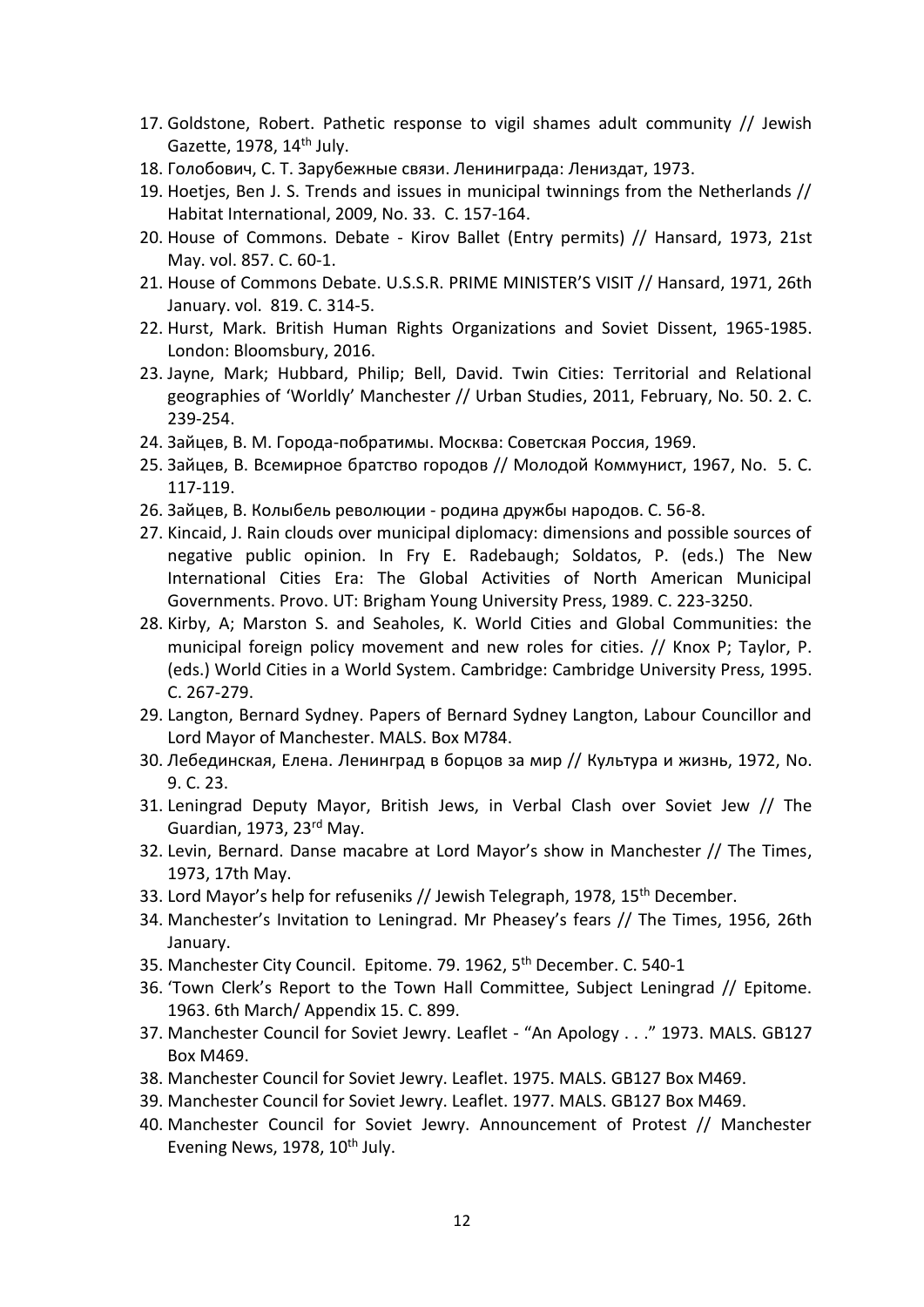- 17. Goldstone, Robert. Pathetic response to vigil shames adult community // Jewish Gazette, 1978, 14<sup>th</sup> July.
- 18. Голобович, С. Т. Зарубежные связи. Лениниграда: Лениздат, 1973.
- 19. Hoetjes, Ben J. S. Trends and issues in municipal twinnings from the Netherlands // Habitat International, 2009, No. 33. C. 157-164.
- 20. House of Commons. Debate Kirov Ballet (Entry permits) // Hansard, 1973, 21st May. vol. 857. C. 60-1.
- 21. House of Commons Debate. U.S.S.R. PRIME MINISTER'S VISIT // Hansard, 1971, 26th January. vol. 819. C. 314-5.
- 22. Hurst, Mark. British Human Rights Organizations and Soviet Dissent, 1965-1985. London: Bloomsbury, 2016.
- 23. Jayne, Mark; Hubbard, Philip; Bell, David. Twin Cities: Territorial and Relational geographies of 'Worldly' Manchester // Urban Studies, 2011, February, No. 50. 2. C. 239-254.
- 24. Зайцев, В. М. Города-побратимы. Москва: Советская Россия, 1969.
- 25. Зайцев, В. Всемирное братство городов // Молодой Коммунист, 1967, No. 5. С. 117-119.
- 26. Зайцев, В. Колыбель революции родина дружбы народов. C. 56-8.
- 27. Kincaid, J. Rain clouds over municipal diplomacy: dimensions and possible sources of negative public opinion. In Fry E. Radebaugh; Soldatos, P. (eds.) The New International Cities Era: The Global Activities of North American Municipal Governments. Provo. UT: Brigham Young University Press, 1989. C. 223-3250.
- 28. Kirby, A; Marston S. and Seaholes, K. World Cities and Global Communities: the municipal foreign policy movement and new roles for cities. // Knox P; Taylor, P. (eds.) World Cities in a World System. Cambridge: Cambridge University Press, 1995. C. 267-279.
- 29. Langton, Bernard Sydney. Papers of Bernard Sydney Langton, Labour Councillor and Lord Mayor of Manchester. MALS. Box M784.
- 30. Лебединская, Елена. Ленинград в борцов за мир // Культура и жизнь, 1972, No. 9. С. 23.
- 31. Leningrad Deputy Mayor, British Jews, in Verbal Clash over Soviet Jew // The Guardian, 1973, 23rd May.
- 32. Levin, Bernard. Danse macabre at Lord Mayor's show in Manchester // The Times, 1973, 17th May.
- 33. Lord Mayor's help for refuseniks // Jewish Telegraph, 1978, 15<sup>th</sup> December.
- 34. Manchester's Invitation to Leningrad. Mr Pheasey's fears // The Times, 1956, 26th January.
- 35. Manchester City Council. Epitome. 79. 1962, 5<sup>th</sup> December. C. 540-1
- 36. 'Town Clerk's Report to the Town Hall Committee, Subject Leningrad // Epitome. 1963. 6th March/ Appendix 15. C. 899.
- 37. Manchester Council for Soviet Jewry. Leaflet "An Apology . . ." 1973. MALS. GB127 Box M469.
- 38. Manchester Council for Soviet Jewry. Leaflet. 1975. MALS. GB127 Box M469.
- 39. Manchester Council for Soviet Jewry. Leaflet. 1977. MALS. GB127 Box M469.
- 40. Manchester Council for Soviet Jewry. Announcement of Protest // Manchester Evening News,  $1978$ ,  $10^{th}$  July.